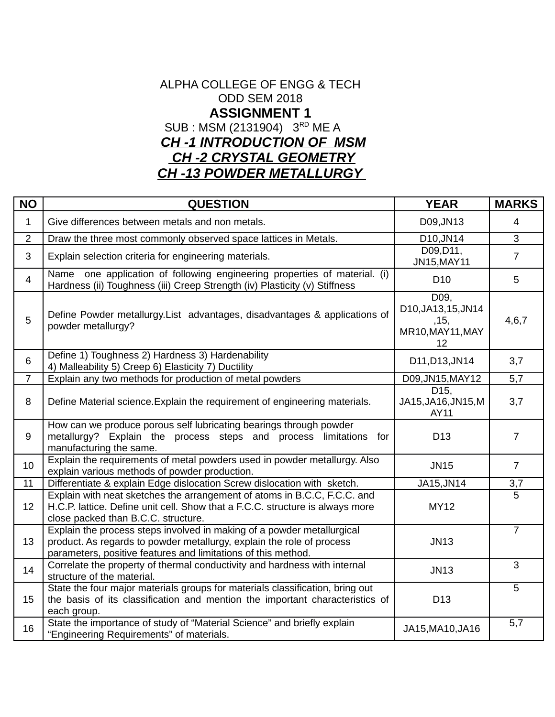### ALPHA COLLEGE OF ENGG & TECH ODD SEM 2018 **ASSIGNMENT 1** SUB : MSM (2131904) 3<sup>RD</sup> ME A *CH -1 INTRODUCTION OF MSM CH -2 CRYSTAL GEOMETRY CH -13 POWDER METALLURGY*

| <b>NO</b>      | <b>QUESTION</b>                                                                                                                                                                                                  | <b>YEAR</b>                                                   | <b>MARKS</b>     |
|----------------|------------------------------------------------------------------------------------------------------------------------------------------------------------------------------------------------------------------|---------------------------------------------------------------|------------------|
| $\mathbf{1}$   | Give differences between metals and non metals.                                                                                                                                                                  | D09, JN13                                                     | 4                |
| $\overline{2}$ | Draw the three most commonly observed space lattices in Metals.                                                                                                                                                  | D10, JN14                                                     | 3                |
| 3              | Explain selection criteria for engineering materials.                                                                                                                                                            | D09, D11,<br>JN15, MAY11                                      | $\overline{7}$   |
| $\overline{4}$ | Name one application of following engineering properties of material. (i)<br>Hardness (ii) Toughness (iii) Creep Strength (iv) Plasticity (v) Stiffness                                                          | D <sub>10</sub>                                               | 5                |
| 5              | Define Powder metallurgy. List advantages, disadvantages & applications of<br>powder metallurgy?                                                                                                                 | D09.<br>D10, JA13, 15, JN14<br>,15,<br>MR10, MAY11, MAY<br>12 | 4, 6, 7          |
| $6\phantom{1}$ | Define 1) Toughness 2) Hardness 3) Hardenability<br>4) Malleability 5) Creep 6) Elasticity 7) Ductility                                                                                                          | D11, D13, JN14                                                | 3,7              |
| $\overline{7}$ | Explain any two methods for production of metal powders                                                                                                                                                          | D09, JN15, MAY12                                              | 5,7              |
| 8              | Define Material science. Explain the requirement of engineering materials.                                                                                                                                       | D15.<br>JA15, JA16, JN15, M<br>AY11                           | 3,7              |
| 9              | How can we produce porous self lubricating bearings through powder<br>metallurgy? Explain the process steps and process limitations for<br>manufacturing the same.                                               | D13                                                           | $\overline{7}$   |
| 10             | Explain the requirements of metal powders used in powder metallurgy. Also<br>explain various methods of powder production.                                                                                       | <b>JN15</b>                                                   | $\overline{7}$   |
| 11             | Differentiate & explain Edge dislocation Screw dislocation with sketch.                                                                                                                                          | JA15, JN14                                                    | 3,7              |
| 12             | Explain with neat sketches the arrangement of atoms in B.C.C, F.C.C. and<br>H.C.P. lattice. Define unit cell. Show that a F.C.C. structure is always more<br>close packed than B.C.C. structure.                 | <b>MY12</b>                                                   | $\overline{5}$   |
| 13             | Explain the process steps involved in making of a powder metallurgical<br>product. As regards to powder metallurgy, explain the role of process<br>parameters, positive features and limitations of this method. | <b>JN13</b>                                                   | $\overline{7}$   |
| 14             | Correlate the property of thermal conductivity and hardness with internal<br>structure of the material.                                                                                                          | <b>JN13</b>                                                   | $\overline{3}$   |
| 15             | State the four major materials groups for materials classification, bring out<br>the basis of its classification and mention the important characteristics of<br>each group.                                     | D13                                                           | 5                |
| 16             | State the importance of study of "Material Science" and briefly explain<br>"Engineering Requirements" of materials.                                                                                              | JA15, MA10, JA16                                              | $\overline{5,7}$ |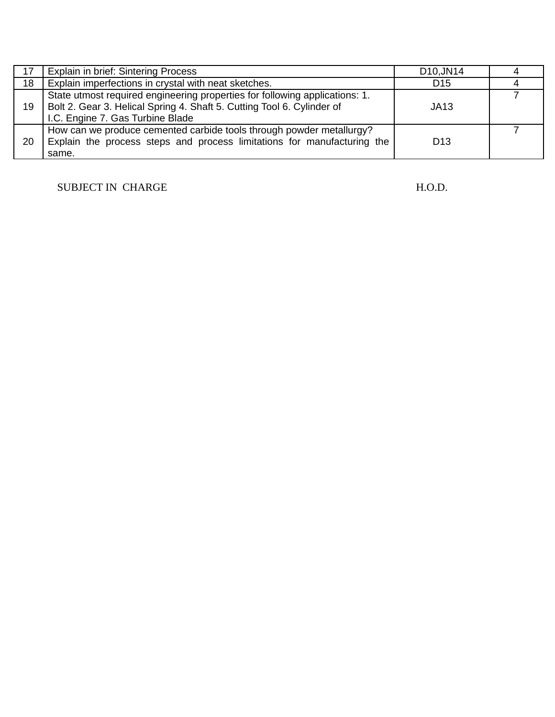| 17 | Explain in brief: Sintering Process                                                                                                                                                       | D10, JN14       |  |
|----|-------------------------------------------------------------------------------------------------------------------------------------------------------------------------------------------|-----------------|--|
| 18 | Explain imperfections in crystal with neat sketches.                                                                                                                                      | D <sub>15</sub> |  |
| 19 | State utmost required engineering properties for following applications: 1.<br>Bolt 2. Gear 3. Helical Spring 4. Shaft 5. Cutting Tool 6. Cylinder of<br>I.C. Engine 7. Gas Turbine Blade | JA13            |  |
| 20 | How can we produce cemented carbide tools through powder metallurgy?<br>Explain the process steps and process limitations for manufacturing the<br>same.                                  | D <sub>13</sub> |  |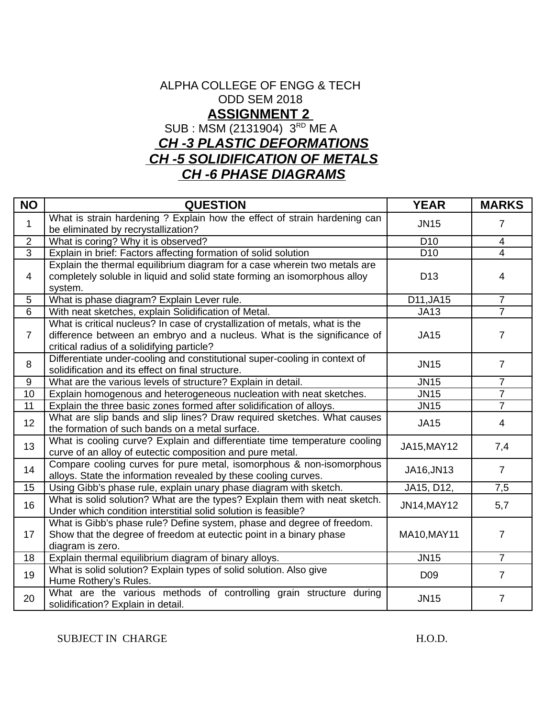### ALPHA COLLEGE OF ENGG & TECH ODD SEM 2018  **ASSIGNMENT 2** SUB : MSM (2131904) 3RD ME A  *CH -3 PLASTIC DEFORMATIONS CH -5 SOLIDIFICATION OF METALS*

#### *CH -6 PHASE DIAGRAMS*

| <b>NO</b>      | <b>QUESTION</b>                                                                                                                                                                                      | <b>YEAR</b>     | <b>MARKS</b>   |
|----------------|------------------------------------------------------------------------------------------------------------------------------------------------------------------------------------------------------|-----------------|----------------|
| $\mathbf{1}$   | What is strain hardening ? Explain how the effect of strain hardening can<br>be eliminated by recrystallization?                                                                                     | <b>JN15</b>     | $\overline{7}$ |
| $\overline{2}$ | What is coring? Why it is observed?                                                                                                                                                                  | D <sub>10</sub> | 4              |
| 3              | Explain in brief: Factors affecting formation of solid solution                                                                                                                                      | D <sub>10</sub> | $\overline{4}$ |
| $\overline{4}$ | Explain the thermal equilibrium diagram for a case wherein two metals are<br>completely soluble in liquid and solid state forming an isomorphous alloy<br>system.                                    | D13             | 4              |
| 5              | What is phase diagram? Explain Lever rule.                                                                                                                                                           | D11, JA15       | $\overline{7}$ |
| $6\phantom{1}$ | With neat sketches, explain Solidification of Metal.                                                                                                                                                 | JA13            | $\overline{7}$ |
| $\overline{7}$ | What is critical nucleus? In case of crystallization of metals, what is the<br>difference between an embryo and a nucleus. What is the significance of<br>critical radius of a solidifying particle? | JA15            | 7              |
| 8              | Differentiate under-cooling and constitutional super-cooling in context of<br>solidification and its effect on final structure.                                                                      | <b>JN15</b>     | 7              |
| 9              | What are the various levels of structure? Explain in detail.                                                                                                                                         | <b>JN15</b>     | $\overline{7}$ |
| 10             | Explain homogenous and heterogeneous nucleation with neat sketches.                                                                                                                                  | <b>JN15</b>     | $\overline{7}$ |
| 11             | Explain the three basic zones formed after solidification of alloys.                                                                                                                                 | <b>JN15</b>     | $\overline{7}$ |
| 12             | What are slip bands and slip lines? Draw required sketches. What causes<br>the formation of such bands on a metal surface.                                                                           | <b>JA15</b>     | $\overline{4}$ |
| 13             | What is cooling curve? Explain and differentiate time temperature cooling<br>curve of an alloy of eutectic composition and pure metal.                                                               | JA15, MAY12     | 7,4            |
| 14             | Compare cooling curves for pure metal, isomorphous & non-isomorphous<br>alloys. State the information revealed by these cooling curves.                                                              | JA16, JN13      | $\overline{7}$ |
| 15             | Using Gibb's phase rule, explain unary phase diagram with sketch.                                                                                                                                    | JA15, D12,      | 7,5            |
| 16             | What is solid solution? What are the types? Explain them with neat sketch.<br>Under which condition interstitial solid solution is feasible?                                                         | JN14, MAY12     | 5,7            |
| 17             | What is Gibb's phase rule? Define system, phase and degree of freedom.<br>Show that the degree of freedom at eutectic point in a binary phase<br>diagram is zero.                                    | MA10, MAY11     | 7              |
| 18             | Explain thermal equilibrium diagram of binary alloys.                                                                                                                                                | <b>JN15</b>     | $\overline{7}$ |
| 19             | What is solid solution? Explain types of solid solution. Also give<br>Hume Rothery's Rules.                                                                                                          | D <sub>09</sub> | $\overline{7}$ |
| 20             | What are the various methods of controlling grain structure during<br>solidification? Explain in detail.                                                                                             | <b>JN15</b>     | $\overline{7}$ |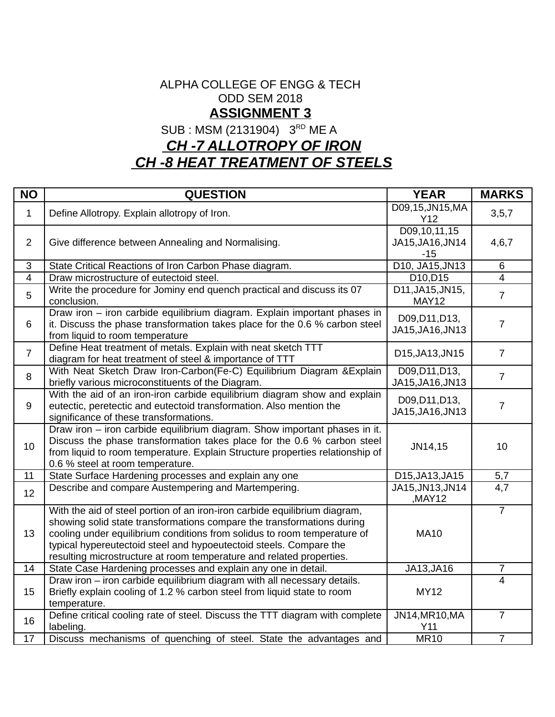#### ALPHA COLLEGE OF ENGG & TECH ODD SEM 2018 **ASSIGNMENT 3**

SUB : MSM (2131904) 3<sup>RD</sup> ME A

## *CH -7 ALLOTROPY OF IRON CH -8 HEAT TREATMENT OF STEELS*

| <b>NO</b>      | <b>QUESTION</b>                                                                                                                                                                                                                                                                                                                                                                | <b>YEAR</b>                               | <b>MARKS</b>   |
|----------------|--------------------------------------------------------------------------------------------------------------------------------------------------------------------------------------------------------------------------------------------------------------------------------------------------------------------------------------------------------------------------------|-------------------------------------------|----------------|
| $\mathbf{1}$   | Define Allotropy. Explain allotropy of Iron.                                                                                                                                                                                                                                                                                                                                   | D09,15,JN15,MA<br>Y12                     | 3, 5, 7        |
| $\overline{2}$ | Give difference between Annealing and Normalising.                                                                                                                                                                                                                                                                                                                             | D09,10,11,15<br>JA15, JA16, JN14<br>$-15$ | 4,6,7          |
| $\overline{3}$ | State Critical Reactions of Iron Carbon Phase diagram.                                                                                                                                                                                                                                                                                                                         | D10, JA15, JN13                           | 6              |
| $\overline{4}$ | Draw microstructure of eutectoid steel.                                                                                                                                                                                                                                                                                                                                        | D10, D15                                  | $\overline{4}$ |
| 5              | Write the procedure for Jominy end quench practical and discuss its 07<br>conclusion.                                                                                                                                                                                                                                                                                          | D11, JA15, JN15,<br><b>MAY12</b>          | $\overline{7}$ |
| 6              | Draw iron - iron carbide equilibrium diagram. Explain important phases in<br>it. Discuss the phase transformation takes place for the 0.6 % carbon steel<br>from liquid to room temperature                                                                                                                                                                                    | D09, D11, D13,<br>JA15, JA16, JN13        | $\overline{7}$ |
| $\overline{7}$ | Define Heat treatment of metals. Explain with neat sketch TTT<br>diagram for heat treatment of steel & importance of TTT                                                                                                                                                                                                                                                       | D15, JA13, JN15                           | $\overline{7}$ |
| 8              | With Neat Sketch Draw Iron-Carbon(Fe-C) Equilibrium Diagram & Explain<br>briefly various microconstituents of the Diagram.                                                                                                                                                                                                                                                     | D09, D11, D13,<br>JA15, JA16, JN13        | $\overline{7}$ |
| 9              | With the aid of an iron-iron carbide equilibrium diagram show and explain<br>eutectic, peretectic and eutectoid transformation. Also mention the<br>significance of these transformations.                                                                                                                                                                                     | D09, D11, D13,<br>JA15, JA16, JN13        | $\overline{7}$ |
| 10             | Draw iron - iron carbide equilibrium diagram. Show important phases in it.<br>Discuss the phase transformation takes place for the 0.6 % carbon steel<br>from liquid to room temperature. Explain Structure properties relationship of<br>0.6 % steel at room temperature.                                                                                                     | JN14,15                                   | 10             |
| 11             | State Surface Hardening processes and explain any one                                                                                                                                                                                                                                                                                                                          | D15, JA13, JA15                           | 5,7            |
| 12             | Describe and compare Austempering and Martempering.                                                                                                                                                                                                                                                                                                                            | JA15, JN13, JN14<br>,MAY12                | 4,7            |
| 13             | With the aid of steel portion of an iron-iron carbide equilibrium diagram,<br>showing solid state transformations compare the transformations during<br>cooling under equilibrium conditions from solidus to room temperature of<br>typical hypereutectoid steel and hypoeutectoid steels. Compare the<br>resulting microstructure at room temperature and related properties. | <b>MA10</b>                               | $\overline{7}$ |
| 14             | State Case Hardening processes and explain any one in detail.                                                                                                                                                                                                                                                                                                                  | JA13, JA16                                | $\overline{7}$ |
| 15             | Draw iron - iron carbide equilibrium diagram with all necessary details.<br>Briefly explain cooling of 1.2 % carbon steel from liquid state to room<br>temperature.                                                                                                                                                                                                            | <b>MY12</b>                               | $\overline{4}$ |
| 16             | Define critical cooling rate of steel. Discuss the TTT diagram with complete<br>labeling.                                                                                                                                                                                                                                                                                      | JN14, MR10, MA<br>Y11                     | $\overline{7}$ |
| 17             | Discuss mechanisms of quenching of steel. State the advantages and                                                                                                                                                                                                                                                                                                             | <b>MR10</b>                               | $\overline{7}$ |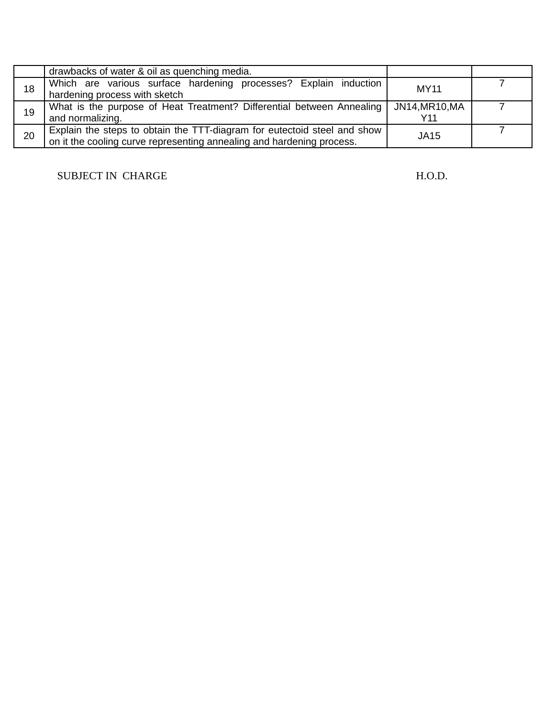|    | drawbacks of water & oil as quenching media.                                                                                                      |                     |  |
|----|---------------------------------------------------------------------------------------------------------------------------------------------------|---------------------|--|
| 18 | Which are various surface hardening processes? Explain induction<br>hardening process with sketch                                                 | MY11                |  |
| 19 | What is the purpose of Heat Treatment? Differential between Annealing<br>and normalizing.                                                         | JN14,MR10,MA<br>Y11 |  |
| 20 | Explain the steps to obtain the TTT-diagram for eutectoid steel and show<br>on it the cooling curve representing annealing and hardening process. | JA15                |  |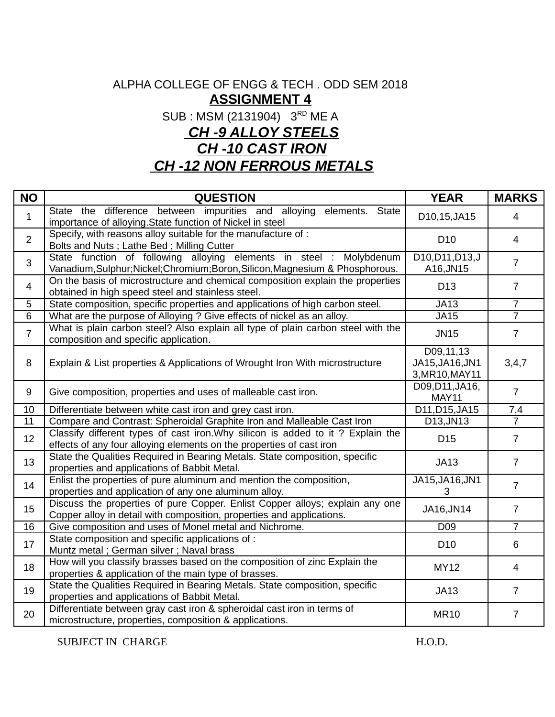### ALPHA COLLEGE OF ENGG & TECH . ODD SEM 2018 **ASSIGNMENT 4**

SUB : MSM (2131904) 3<sup>RD</sup> ME A

## *CH -9 ALLOY STEELS*

*CH -10 CAST IRON*

 *CH -12 NON FERROUS METALS*

| <b>NO</b>      | <b>QUESTION</b>                                                                                                                                        | <b>YEAR</b>                                    | <b>MARKS</b>   |
|----------------|--------------------------------------------------------------------------------------------------------------------------------------------------------|------------------------------------------------|----------------|
| $\mathbf{1}$   | State the difference between impurities and alloying<br>elements.<br>State<br>importance of alloying. State function of Nickel in steel                | D10,15,JA15                                    | $\overline{4}$ |
| $\overline{2}$ | Specify, with reasons alloy suitable for the manufacture of :<br>Bolts and Nuts; Lathe Bed; Milling Cutter                                             | D <sub>10</sub>                                | $\overline{4}$ |
| 3              | State function of following alloying elements in steel : Molybdenum<br>Vanadium, Sulphur; Nickel; Chromium; Boron, Silicon, Magnesium & Phosphorous.   | D10, D11, D13, J<br>A16, JN15                  | $\overline{7}$ |
| 4              | On the basis of microstructure and chemical composition explain the properties<br>obtained in high speed steel and stainless steel.                    | D13                                            | $\overline{7}$ |
| 5              | State composition, specific properties and applications of high carbon steel.                                                                          | JA13                                           | $\overline{7}$ |
| 6              | What are the purpose of Alloying ? Give effects of nickel as an alloy.                                                                                 | <b>JA15</b>                                    | $\overline{7}$ |
| $\overline{7}$ | What is plain carbon steel? Also explain all type of plain carbon steel with the<br>composition and specific application.                              | <b>JN15</b>                                    | $\overline{7}$ |
| 8              | Explain & List properties & Applications of Wrought Iron With microstructure                                                                           | D09,11,13<br>JA15, JA16, JN1<br>3, MR10, MAY11 | 3,4,7          |
| 9              | Give composition, properties and uses of malleable cast iron.                                                                                          | D09, D11, JA16,<br><b>MAY11</b>                | $\overline{7}$ |
| 10             | Differentiate between white cast iron and grey cast iron.                                                                                              | D11, D15, JA15                                 | 7,4            |
| 11             | Compare and Contrast: Spheroidal Graphite Iron and Malleable Cast Iron                                                                                 | D13, JN13                                      | $\overline{7}$ |
| 12             | Classify different types of cast iron. Why silicon is added to it? Explain the<br>effects of any four alloying elements on the properties of cast iron | D <sub>15</sub>                                | $\overline{7}$ |
| 13             | State the Qualities Required in Bearing Metals. State composition, specific<br>properties and applications of Babbit Metal.                            | JA13                                           | $\overline{7}$ |
| 14             | Enlist the properties of pure aluminum and mention the composition,<br>properties and application of any one aluminum alloy.                           | JA15, JA16, JN1<br>3                           | $\overline{7}$ |
| 15             | Discuss the properties of pure Copper. Enlist Copper alloys; explain any one<br>Copper alloy in detail with composition, properties and applications.  | JA16, JN14                                     | $\overline{7}$ |
| 16             | Give composition and uses of Monel metal and Nichrome.                                                                                                 | D <sub>09</sub>                                | $\overline{7}$ |
| 17             | State composition and specific applications of:<br>Muntz metal; German silver; Naval brass                                                             | D <sub>10</sub>                                | 6              |
| 18             | How will you classify brasses based on the composition of zinc Explain the<br>properties & application of the main type of brasses.                    | MY12                                           | 4              |
| 19             | State the Qualities Required in Bearing Metals. State composition, specific<br>properties and applications of Babbit Metal.                            | JA13                                           | $\overline{7}$ |
| 20             | Differentiate between gray cast iron & spheroidal cast iron in terms of<br>microstructure, properties, composition & applications.                     | <b>MR10</b>                                    | $\overline{7}$ |